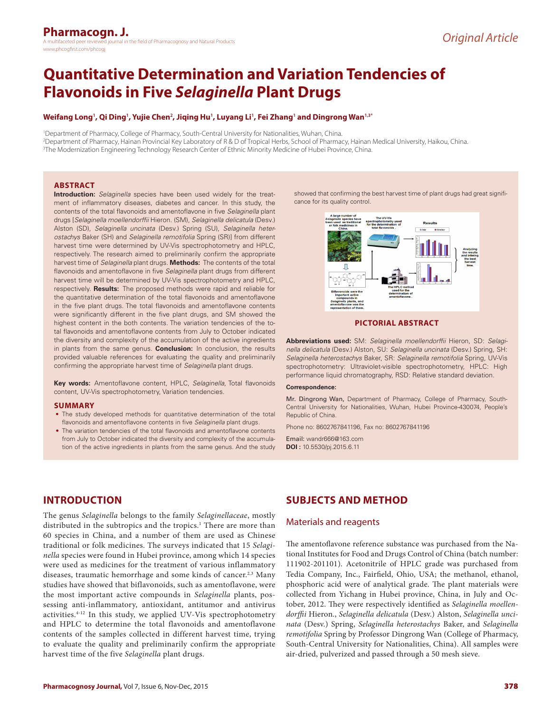# **Quantitative Determination and Variation Tendencies of Flavonoids in Five** *Selaginella* **Plant Drugs**

### **Weifang Long<sup>1</sup> , Qi Ding<sup>1</sup> , Yujie Chen<sup>2</sup> , Jiqing Hu<sup>1</sup> , Luyang Li<sup>1</sup> , Fei Zhang<sup>1</sup> and Dingrong Wan1,3\***

1 Department of Pharmacy, College of Pharmacy, South-Central University for Nationalities, Wuhan, China. 2 Department of Pharmacy, Hainan Provincial Key Laboratory of R & D of Tropical Herbs, School of Pharmacy, Hainan Medical University, Haikou, China. 3 The Modernization Engineering Technology Research Center of Ethnic Minority Medicine of Hubei Province, China.

### **ABSTRACT**

**Introduction:** *Selaginella* species have been used widely for the treatment of inflammatory diseases, diabetes and cancer. In this study, the contents of the total flavonoids and amentoflavone in five *Selaginella* plant drugs [*Selaginella moellendorffii* Hieron. (SM), *Selaginella delicatula* (Desv.) Alston (SD), *Selaginella uncinata* (Desv.) Spring (SU), *Selaginella heterostachys* Baker (SH) and *Selaginella remotifolia* Spring (SR)] from different harvest time were determined by UV-Vis spectrophotometry and HPLC, respectively. The research aimed to preliminarily confirm the appropriate harvest time of *Selaginella* plant drugs. **Methods:** The contents of the total flavonoids and amentoflavone in five *Selaginella* plant drugs from different harvest time will be determined by UV-Vis spectrophotometry and HPLC, respectively. **Results:** The proposed methods were rapid and reliable for the quantitative determination of the total flavonoids and amentoflavone in the five plant drugs. The total flavonoids and amentoflavone contents were significantly different in the five plant drugs, and SM showed the highest content in the both contents. The variation tendencies of the total flavonoids and amentoflavone contents from July to October indicated the diversity and complexity of the accumulation of the active ingredients in plants from the same genus. **Conclusion:** In conclusion, the results provided valuable references for evaluating the quality and preliminarily confirming the appropriate harvest time of *Selaginella* plant drugs.

**Key words:** Amentoflavone content, HPLC, *Selaginella*, Total flavonoids content, UV-Vis spectrophotometry, Variation tendencies.

#### **SUMMARY**

- The study developed methods for quantitative determination of the total flavonoids and amentoflavone contents in five *Selaginella* plant drugs.
- The variation tendencies of the total flavonoids and amentoflavone contents from July to October indicated the diversity and complexity of the accumulation of the active ingredients in plants from the same genus. And the study

showed that confirming the best harvest time of plant drugs had great significance for its quality control.



### **PICTORIAL ABSTRACT**

**Abbreviations used:** SM: *Selaginella moellendorffii* Hieron, SD: *Selaginella delicatula* (Desv.) Alston, SU: *Selaginella uncinata* (Desv.) Spring, SH: *Selaginella heterostachys* Baker, SR: *Selaginella remotifolia* Spring, UV-Vis spectrophotometry: Ultraviolet-visible spectrophotometry, HPLC: High performance liquid chromatography, RSD: Relative standard deviation.

#### **Correspondence:**

Mr. Dingrong Wan, Department of Pharmacy, College of Pharmacy, South-Central University for Nationalities, Wuhan, Hubei Province-430074, People's Republic of China.

Phone no: 8602767841196, Fax no: 8602767841196

Email: wandr666@163.com **DOI :** 10.5530/pj.2015.6.11

# **INTRODUCTION**

The genus *Selaginella* belongs to the family *Selaginellaceae*, mostly distributed in the subtropics and the tropics.<sup>1</sup> There are more than 60 species in China, and a number of them are used as Chinese traditional or folk medicines. The surveys indicated that 15 *Selaginella* species were found in Hubei province, among which 14 species were used as medicines for the treatment of various inflammatory diseases, traumatic hemorrhage and some kinds of cancer.<sup>2,3</sup> Many studies have showed that biflavonoids, such as amentoflavone, were the most important active compounds in *Selaginella* plants, possessing anti-inflammatory, antioxidant, antitumor and antivirus activities. $4-12$  In this study, we applied UV-Vis spectrophotometry and HPLC to determine the total flavonoids and amentoflavone contents of the samples collected in different harvest time, trying to evaluate the quality and preliminarily confirm the appropriate harvest time of the five *Selaginella* plant drugs.

# **SUBJECTS AND METHOD**

### Materials and reagents

The amentoflavone reference substance was purchased from the National Institutes for Food and Drugs Control of China (batch number: 111902-201101). Acetonitrile of HPLC grade was purchased from Tedia Company, Inc., Fairfield, Ohio, USA; the methanol, ethanol, phosphoric acid were of analytical grade. The plant materials were collected from Yichang in Hubei province, China, in July and October, 2012. They were respectively identified as *Selaginella moellendorffii* Hieron., *Selaginella delicatula* (Desv.) Alston, *Selaginella uncinata* (Desv.) Spring, *Selaginella heterostachys* Baker, and *Selaginella remotifolia* Spring by Professor Dingrong Wan (College of Pharmacy, South-Central University for Nationalities, China). All samples were air-dried, pulverized and passed through a 50 mesh sieve.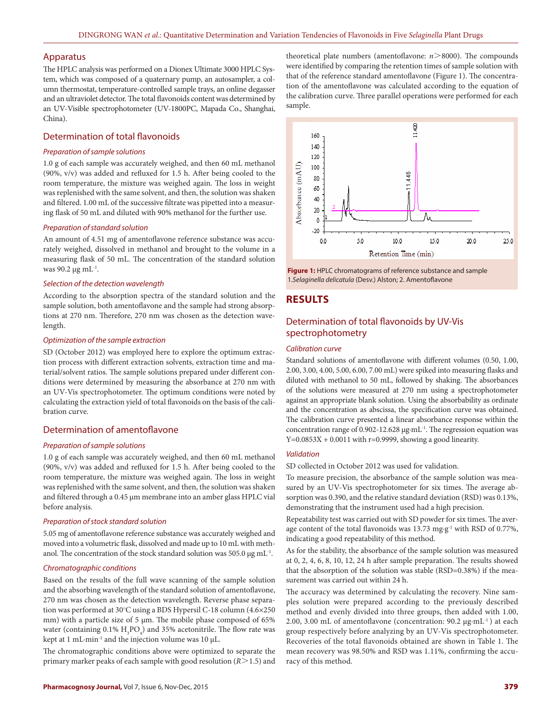### Apparatus

The HPLC analysis was performed on a Dionex Ultimate 3000 HPLC System, which was composed of a quaternary pump, an autosampler, a column thermostat, temperature-controlled sample trays, an online degasser and an ultraviolet detector. The total flavonoids content was determined by an UV-Visible spectrophotometer (UV-1800PC, Mapada Co., Shanghai, China).

### Determination of total flavonoids

### *Preparation of sample solutions*

1.0 g of each sample was accurately weighed, and then 60 mL methanol (90%, v/v) was added and refluxed for 1.5 h. After being cooled to the room temperature, the mixture was weighed again. The loss in weight was replenished with the same solvent, and then, the solution was shaken and filtered. 1.00 mL of the successive filtrate was pipetted into a measuring flask of 50 mL and diluted with 90% methanol for the further use.

### *Preparation of standard solution*

An amount of 4.51 mg of amentoflavone reference substance was accurately weighed, dissolved in methanol and brought to the volume in a measuring flask of 50 mL. The concentration of the standard solution was 90.2 μg mL $^{-1}$ .

#### *Selection of the detection wavelength*

According to the absorption spectra of the standard solution and the sample solution, both amentoflavone and the sample had strong absorptions at 270 nm. Therefore, 270 nm was chosen as the detection wavelength.

#### *Optimization of the sample extraction*

SD (October 2012) was employed here to explore the optimum extraction process with different extraction solvents, extraction time and material/solvent ratios. The sample solutions prepared under different conditions were determined by measuring the absorbance at 270 nm with an UV-Vis spectrophotometer. The optimum conditions were noted by calculating the extraction yield of total flavonoids on the basis of the calibration curve.

## Determination of amentoflavone

### *Preparation of sample solutions*

1.0 g of each sample was accurately weighed, and then 60 mL methanol (90%, v/v) was added and refluxed for 1.5 h. After being cooled to the room temperature, the mixture was weighed again. The loss in weight was replenished with the same solvent, and then, the solution was shaken and filtered through a 0.45 μm membrane into an amber glass HPLC vial before analysis.

### *Preparation of stock standard solution*

5.05 mg of amentoflavone reference substance was accurately weighed and moved into a volumetric flask, dissolved and made up to 10 mL with methanol. The concentration of the stock standard solution was 505.0 μg mL-1.

### *Chromatographic conditions*

Based on the results of the full wave scanning of the sample solution and the absorbing wavelength of the standard solution of amentoflavone, 270 nm was chosen as the detection wavelength. Reverse phase separation was performed at 30°C using a BDS Hypersil C-18 column (4.6×250 mm) with a particle size of 5 μm. The mobile phase composed of 65% water (containing  $0.1\%$   $H_3PO_4$ ) and 35% acetonitrile. The flow rate was kept at 1 mL·min-1 and the injection volume was 10 μL.

The chromatographic conditions above were optimized to separate the primary marker peaks of each sample with good resolution (*R*>1.5) and

theoretical plate numbers (amentoflavone: *n*>8000). The compounds were identified by comparing the retention times of sample solution with that of the reference standard amentoflavone (Figure 1). The concentration of the amentoflavone was calculated according to the equation of the calibration curve. Three parallel operations were performed for each sample.





# **RESULTS**

# Determination of total flavonoids by UV-Vis spectrophotometry

### *Calibration curve*

Standard solutions of amentoflavone with different volumes (0.50, 1.00, 2.00, 3.00, 4.00, 5.00, 6.00, 7.00 mL) were spiked into measuring flasks and diluted with methanol to 50 mL, followed by shaking. The absorbances of the solutions were measured at 270 nm using a spectrophotometer against an appropriate blank solution. Using the absorbability as ordinate and the concentration as abscissa, the specification curve was obtained. The calibration curve presented a linear absorbance response within the concentration range of 0.902-12.628 μg·mL-1. The regression equation was  $Y=0.0853X + 0.0011$  with  $r=0.9999$ , showing a good linearity.

### *Validation*

SD collected in October 2012 was used for validation.

To measure precision, the absorbance of the sample solution was measured by an UV-Vis spectrophotometer for six times. The average absorption was 0.390, and the relative standard deviation (RSD) was 0.13%, demonstrating that the instrument used had a high precision.

Repeatability test was carried out with SD powder for six times. The average content of the total flavonoids was 13.73 mg·g<sup>-1</sup> with RSD of 0.77%, indicating a good repeatability of this method.

As for the stability, the absorbance of the sample solution was measured at 0, 2, 4, 6, 8, 10, 12, 24 h after sample preparation. The results showed that the absorption of the solution was stable (RSD=0.38%) if the measurement was carried out within 24 h.

The accuracy was determined by calculating the recovery. Nine samples solution were prepared according to the previously described method and evenly divided into three groups, then added with 1.00, 2.00, 3.00 mL of amentoflavone (concentration: 90.2 μg·mL-1 ) at each group respectively before analyzing by an UV-Vis spectrophotometer. Recoveries of the total flavonoids obtained are shown in Table 1. The mean recovery was 98.50% and RSD was 1.11%, confirming the accuracy of this method.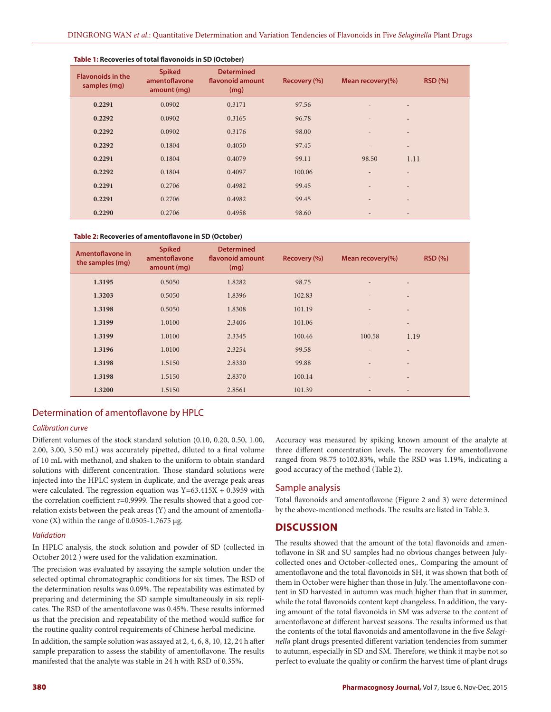| <b>Flavonoids in the</b><br>samples (mg) | <b>Spiked</b><br>amentoflavone<br>amount (mg) | <b>Determined</b><br>flavonoid amount<br>(mg) | Recovery (%) | Mean recovery(%)         | RSD(%)                   |
|------------------------------------------|-----------------------------------------------|-----------------------------------------------|--------------|--------------------------|--------------------------|
| 0.2291                                   | 0.0902                                        | 0.3171                                        | 97.56        | $\overline{\phantom{0}}$ | $\qquad \qquad -$        |
| 0.2292                                   | 0.0902                                        | 0.3165                                        | 96.78        | $\overline{a}$           | $\qquad \qquad -$        |
| 0.2292                                   | 0.0902                                        | 0.3176                                        | 98.00        | $\overline{\phantom{a}}$ | $\overline{\phantom{a}}$ |
| 0.2292                                   | 0.1804                                        | 0.4050                                        | 97.45        | $\overline{a}$           | $\overline{\phantom{a}}$ |
| 0.2291                                   | 0.1804                                        | 0.4079                                        | 99.11        | 98.50                    | 1.11                     |
| 0.2292                                   | 0.1804                                        | 0.4097                                        | 100.06       | ÷                        | $\qquad \qquad -$        |
| 0.2291                                   | 0.2706                                        | 0.4982                                        | 99.45        | $\overline{\phantom{a}}$ | $\qquad \qquad -$        |
| 0.2291                                   | 0.2706                                        | 0.4982                                        | 99.45        | $\overline{\phantom{a}}$ | $\overline{\phantom{a}}$ |
| 0.2290                                   | 0.2706                                        | 0.4958                                        | 98.60        | ۰                        |                          |

# **Table 1: Recoveries of total flavonoids in SD (October)**

#### **Table 2: Recoveries of amentoflavone in SD (October)**

| Amentoflavone in<br>the samples (mg) | <b>Spiked</b><br>amentoflavone<br>amount (mg) | <b>Determined</b><br>flavonoid amount<br>(mg) | Recovery (%) | Mean recovery(%)         | <b>RSD (%)</b>           |
|--------------------------------------|-----------------------------------------------|-----------------------------------------------|--------------|--------------------------|--------------------------|
| 1.3195                               | 0.5050                                        | 1.8282                                        | 98.75        | ٠                        | $\overline{\phantom{0}}$ |
| 1.3203                               | 0.5050                                        | 1.8396                                        | 102.83       |                          | $\overline{\phantom{0}}$ |
| 1.3198                               | 0.5050                                        | 1.8308                                        | 101.19       | $\overline{\phantom{a}}$ | $\overline{\phantom{0}}$ |
| 1.3199                               | 1.0100                                        | 2.3406                                        | 101.06       | $\overline{a}$           | $\overline{\phantom{0}}$ |
| 1.3199                               | 1.0100                                        | 2.3345                                        | 100.46       | 100.58                   | 1.19                     |
| 1.3196                               | 1.0100                                        | 2.3254                                        | 99.58        | ٠                        | $\overline{\phantom{0}}$ |
| 1.3198                               | 1.5150                                        | 2.8330                                        | 99.88        | $\qquad \qquad$          | $\overline{\phantom{0}}$ |
| 1.3198                               | 1.5150                                        | 2.8370                                        | 100.14       | $\qquad \qquad$          | $\overline{\phantom{0}}$ |
| 1.3200                               | 1.5150                                        | 2.8561                                        | 101.39       | $\overline{\phantom{a}}$ | $\overline{\phantom{a}}$ |

# Determination of amentoflavone by HPLC

# *Calibration curve*

Different volumes of the stock standard solution (0.10, 0.20, 0.50, 1.00, 2.00, 3.00, 3.50 mL) was accurately pipetted, diluted to a final volume of 10 mL with methanol, and shaken to the uniform to obtain standard solutions with different concentration. Those standard solutions were injected into the HPLC system in duplicate, and the average peak areas were calculated. The regression equation was  $Y=63.415X + 0.3959$  with the correlation coefficient r=0.9999. The results showed that a good correlation exists between the peak areas (Y) and the amount of amentoflavone (X) within the range of 0.0505-1.7675 μg.

### *Validation*

In HPLC analysis, the stock solution and powder of SD (collected in October 2012 ) were used for the validation examination.

The precision was evaluated by assaying the sample solution under the selected optimal chromatographic conditions for six times. The RSD of the determination results was 0.09%. The repeatability was estimated by preparing and determining the SD sample simultaneously in six replicates. The RSD of the amentoflavone was 0.45%. These results informed us that the precision and repeatability of the method would suffice for the routine quality control requirements of Chinese herbal medicine.

In addition, the sample solution was assayed at 2, 4, 6, 8, 10, 12, 24 h after sample preparation to assess the stability of amentoflavone. The results manifested that the analyte was stable in 24 h with RSD of 0.35%.

Accuracy was measured by spiking known amount of the analyte at three different concentration levels. The recovery for amentoflavone ranged from 98.75 to102.83%, while the RSD was 1.19%, indicating a good accuracy of the method (Table 2).

# Sample analysis

Total flavonoids and amentoflavone (Figure 2 and 3) were determined by the above-mentioned methods. The results are listed in Table 3.

# **DISCUSSION**

The results showed that the amount of the total flavonoids and amentoflavone in SR and SU samples had no obvious changes between Julycollected ones and October-collected ones,. Comparing the amount of amentoflavone and the total flavonoids in SH, it was shown that both of them in October were higher than those in July. The amentoflavone content in SD harvested in autumn was much higher than that in summer, while the total flavonoids content kept changeless. In addition, the varying amount of the total flavonoids in SM was adverse to the content of amentoflavone at different harvest seasons. The results informed us that the contents of the total flavonoids and amentoflavone in the five *Selaginella* plant drugs presented different variation tendencies from summer to autumn, especially in SD and SM. Therefore, we think it maybe not so perfect to evaluate the quality or confirm the harvest time of plant drugs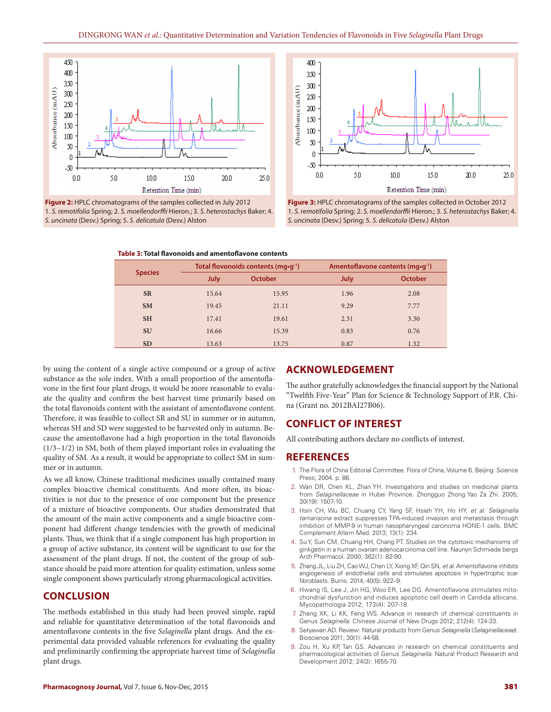





**Figure 3:** HPLC chromatograms of the samples collected in October 2012 1. *S. remotifolia* Spring; 2. *S. moellendorffii* Hieron.; 3. *S. heterostachys* Baker; 4. *S. uncinata* (Desv.) Spring; 5. *S. delicatula* (Desv.) Alston

| <b>Species</b> | Total flovonoids contents (mg·g <sup>-1</sup> ) |                | Amentoflavone contents (mg•g <sup>-1</sup> ) |                |
|----------------|-------------------------------------------------|----------------|----------------------------------------------|----------------|
|                | <b>July</b>                                     | <b>October</b> | <b>July</b>                                  | <b>October</b> |
| <b>SR</b>      | 15.64                                           | 15.95          | 1.96                                         | 2.08           |
| <b>SM</b>      | 19.45                                           | 21.11          | 9.29                                         | 7.77           |
| <b>SH</b>      | 17.41                                           | 19.61          | 2.31                                         | 3.30           |
| <b>SU</b>      | 16.66                                           | 15.39          | 0.83                                         | 0.76           |
| <b>SD</b>      | 13.63                                           | 13.75          | 0.87                                         | 1.32           |

by using the content of a single active compound or a group of active substance as the sole index. With a small proportion of the amentoflavone in the first four plant drugs, it would be more reasonable to evaluate the quality and confirm the best harvest time primarily based on the total flavonoids content with the assistant of amentoflavone content. Therefore, it was feasible to collect SR and SU in summer or in autumn, whereas SH and SD were suggested to be harvested only in autumn. Because the amentoflavone had a high proportion in the total flavonoids  $(1/3 \sim 1/2)$  in SM, both of them played important roles in evaluating the quality of SM. As a result, it would be appropriate to collect SM in summer or in autumn.

As we all know, Chinese traditional medicines usually contained many complex bioactive chemical constituents. And more often, its bioactivities is not due to the presence of one component but the presence of a mixture of bioactive components. Our studies demonstrated that the amount of the main active components and a single bioactive component had different change tendencies with the growth of medicinal plants. Thus, we think that if a single component has high proportion in a group of active substance, its content will be significant to use for the assessment of the plant drugs. If not, the content of the group of substance should be paid more attention for quality estimation, unless some single component shows particularly strong pharmacological activities.

# **CONCLUSION**

The methods established in this study had been proved simple, rapid and reliable for quantitative determination of the total flavonoids and amentoflavone contents in the five *Selaginella* plant drugs. And the experimental data provided valuable references for evaluating the quality and preliminarily confirming the appropriate harvest time of *Selaginella* plant drugs.

# **ACKNOWLEDGEMENT**

The author gratefully acknowledges the financial support by the National "Twelfth Five-Year" Plan for Science & Technology Support of P.R. China (Grant no. 2012BAI27B06).

### **CONFLICT OF INTEREST**

All contributing authors declare no conflicts of interest.

### **REFERENCES**

- The Flora of China Editorial Committee. Flora of China, Volume 6. Beijing: Science Press: 2004. p. 86.
- 2. Wan DR, Chen KL, Zhan YH. Investigations and studies on medicinal plants from *Selaginellaceae* in Hubei Province. Zhongguo Zhong Yao Za Zhi. 2005; 30(19): 1507-10.
- 3. Hsin CH, Wu BC, Chuang CY, Yang SF, Hsieh YH, Ho HY, *et al*. *Selaginella tamariscina* extract suppresses TPA-induced invasion and metastasis through inhibition of MMP-9 in human nasopharyngeal carcinoma HONE-1 cells. BMC Complement Altern Med. 2013; 13(1): 234.
- 4. Su Y, Sun CM, Chuang HH, Chang PT. Studies on the cytotoxic mechanisms of ginkgetin in a human ovarian adenocarcinoma cell line. Naunyn Schmiede bergs Arch Pharmacol. 2000; 362(1): 82-90.
- 5. Zhang JL, Liu ZH, Cao WJ, Chen LY, Xiong XF, Qin SN, *et al*. Amentoflavone inhibits angiogenesis of endothelial cells and stimulates apoptosis in hypertrophic scar fibroblasts. Burns. 2014; 40(5): 922–9.
- 6. Hwang IS, Lee J, Jin HG, Woo ER, Lee DG. Amentoflavone stimulates mitochondrial dysfunction and induces apoptotic cell death in Candida albicans. Mycopathologia 2012; 173(4): 207-18.
- 7. Zheng XK, Li KK, Feng WS. Advance in research of chemical constituents in Genus *Selaginella*. Chinese Journal of New Drugs 2012; 212(4): 124-33.
- 8. Setyawan AD. Review: Natural products from Genus *Selaginella* (*Selaginellaceae*). Bioscience 2011; 30(1): 44-58.
- 9. Zou H, Xu KP, Tan GS. Advances in research on chemical constituents and pharmacological activities of Genus *Selaginella*. Natural Product Research and Development 2012; 24(3): 1655-70.